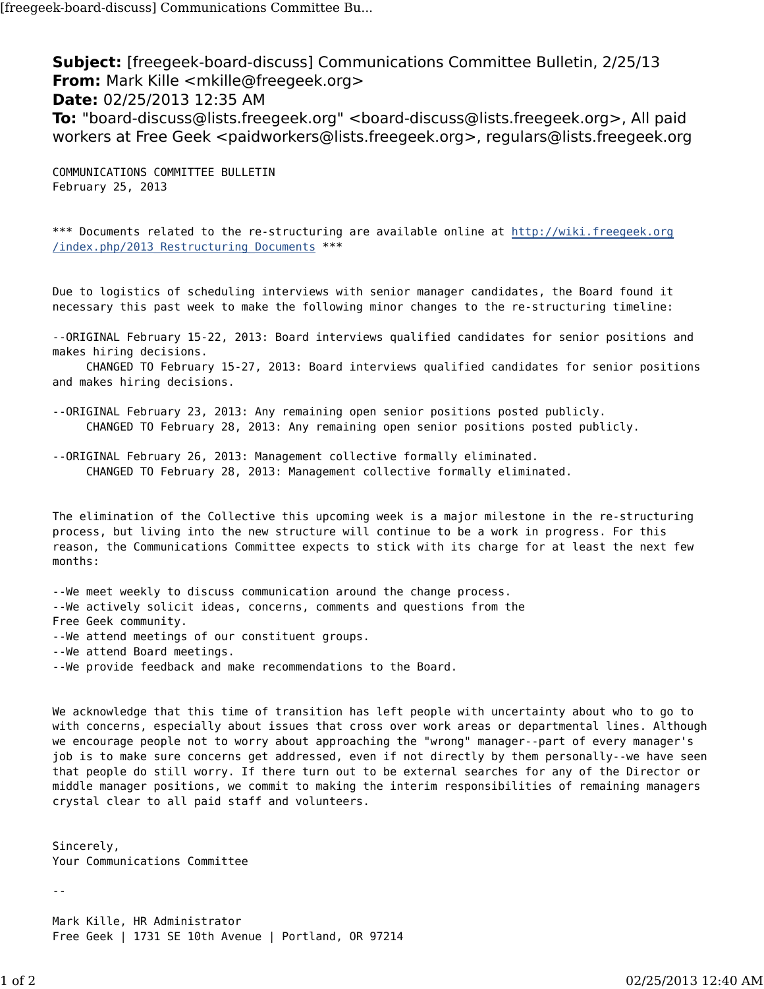**Subject:** [freegeek-board-discuss] Communications Committee Bulletin, 2/25/13 **From:** Mark Kille <mkille@freegeek.org> **Date:** 02/25/2013 12:35 AM **To:** "board-discuss@lists.freegeek.org" <board-discuss@lists.freegeek.org>, All paid workers at Free Geek <paidworkers@lists.freegeek.org>, regulars@lists.freegeek.org

COMMUNICATIONS COMMITTEE BULLETIN February 25, 2013

\*\*\* Documents related to the re-structuring are available online at http://wiki.freegeek.org /index.php/2013 Restructuring Documents \*\*\*

Due to logistics of scheduling interviews with senior manager candidates, the Board found it necessary this past week to make the following minor changes to the re-structuring timeline:

--ORIGINAL February 15-22, 2013: Board interviews qualified candidates for senior positions and makes hiring decisions.

 CHANGED TO February 15-27, 2013: Board interviews qualified candidates for senior positions and makes hiring decisions.

--ORIGINAL February 23, 2013: Any remaining open senior positions posted publicly. CHANGED TO February 28, 2013: Any remaining open senior positions posted publicly.

--ORIGINAL February 26, 2013: Management collective formally eliminated. CHANGED TO February 28, 2013: Management collective formally eliminated.

The elimination of the Collective this upcoming week is a major milestone in the re-structuring process, but living into the new structure will continue to be a work in progress. For this reason, the Communications Committee expects to stick with its charge for at least the next few months:

--We meet weekly to discuss communication around the change process. --We actively solicit ideas, concerns, comments and questions from the Free Geek community. --We attend meetings of our constituent groups. --We attend Board meetings. --We provide feedback and make recommendations to the Board.

We acknowledge that this time of transition has left people with uncertainty about who to go to with concerns, especially about issues that cross over work areas or departmental lines. Although we encourage people not to worry about approaching the "wrong" manager--part of every manager's job is to make sure concerns get addressed, even if not directly by them personally--we have seen that people do still worry. If there turn out to be external searches for any of the Director or middle manager positions, we commit to making the interim responsibilities of remaining managers crystal clear to all paid staff and volunteers.

Sincerely, Your Communications Committee

Mark Kille, HR Administrator Free Geek | 1731 SE 10th Avenue | Portland, OR 97214

--